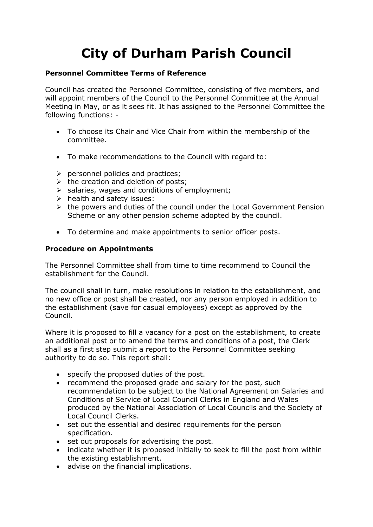# **City of Durham Parish Council**

### **Personnel Committee Terms of Reference**

Council has created the Personnel Committee, consisting of five members, and will appoint members of the Council to the Personnel Committee at the Annual Meeting in May, or as it sees fit. It has assigned to the Personnel Committee the following functions: -

- To choose its Chair and Vice Chair from within the membership of the committee.
- To make recommendations to the Council with regard to:
- $\triangleright$  personnel policies and practices;
- $\triangleright$  the creation and deletion of posts;
- ➢ salaries, wages and conditions of employment;
- ➢ health and safety issues:
- ➢ the powers and duties of the council under the Local Government Pension Scheme or any other pension scheme adopted by the council.
- To determine and make appointments to senior officer posts.

## **Procedure on Appointments**

The Personnel Committee shall from time to time recommend to Council the establishment for the Council.

The council shall in turn, make resolutions in relation to the establishment, and no new office or post shall be created, nor any person employed in addition to the establishment (save for casual employees) except as approved by the Council.

Where it is proposed to fill a vacancy for a post on the establishment, to create an additional post or to amend the terms and conditions of a post, the Clerk shall as a first step submit a report to the Personnel Committee seeking authority to do so. This report shall:

- specify the proposed duties of the post.
- recommend the proposed grade and salary for the post, such recommendation to be subject to the National Agreement on Salaries and Conditions of Service of Local Council Clerks in England and Wales produced by the National Association of Local Councils and the Society of Local Council Clerks.
- set out the essential and desired requirements for the person specification.
- set out proposals for advertising the post.
- indicate whether it is proposed initially to seek to fill the post from within the existing establishment.
- advise on the financial implications.